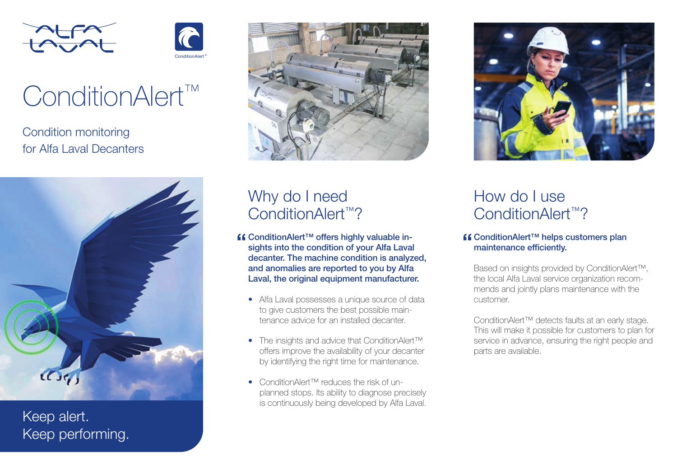



# ConditionAlert™

Condition monitoring for Alfa Laval Decanters



Keep alert. Keep performing.



# Why do I need ConditionAlert<sup>™?</sup>

- ConditionAlert™ offers highly valuable insights into the condition of your Alfa Laval decanter. The machine condition is analyzed, and anomalies are reported to you by Alfa Laval, the original equipment manufacturer.
	- Alfa Laval possesses a unique source of data to give customers the best possible maintenance advice for an installed decanter.
	- The insights and advice that ConditionAlert<sup>™</sup> offers improve the availability of your decanter by identifying the right time for maintenance.
	- ConditionAlert™ reduces the risk of unplanned stops. Its ability to diagnose precisely is continuously being developed by Alfa Laval.



# How do I use ConditionAlert<sup>™?</sup>

### ConditionAlert™ helps customers plan maintenance efficiently.

Based on insights provided by ConditionAlert™, the local Alfa Laval service organization recommends and jointly plans maintenance with the customer.

ConditionAlert™ detects faults at an early stage. This will make it possible for customers to plan for service in advance, ensuring the right people and parts are available.